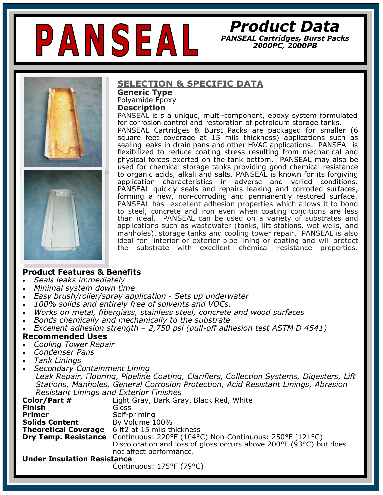

# *Product Data*

*PANSEAL Cartridges, Burst Packs 2000PC, 2000PB* 





## **SELECTION & SPECIFIC DATA**

**Generic Type**  Polyamide Epoxy **Description**

PANSEAL is s a unique, multi-component, epoxy system formulated for corrosion control and restoration of petroleum storage tanks. PANSEAL Cartridges & Burst Packs are packaged for smaller (6 square feet coverage at 15 mils thickness) applications such as sealing leaks in drain pans and other HVAC applications. PANSEAL is flexibilized to reduce coating stress resulting from mechanical and physical forces exerted on the tank bottom. PANSEAL may also be used for chemical storage tanks providing good chemical resistance to organic acids, alkali and salts. PANSEAL is known for its forgiving application characteristics in adverse and varied conditions. PANSEAL quickly seals and repairs leaking and corroded surfaces, forming a new, non-corroding and permanently restored surface. PANSEAL has excellent adhesion properties which allows it to bond to steel, concrete and iron even when coating conditions are less than ideal. PANSEAL can be used on a variety of substrates and applications such as wastewater (tanks, lift stations, wet wells, and manholes), storage tanks and cooling tower repair. PANSEAL is also ideal for interior or exterior pipe lining or coating and will protect the substrate with excellent chemical resistance properties.

#### **Product Features & Benefits**

- *Seals leaks immediately*
- *Minimal system down time*
- *Easy brush/roller/spray application - Sets up underwater*
- *100% solids and entirely free of solvents and VOCs.*
- *Works on metal, fiberglass, stainless steel, concrete and wood surfaces*
- *Bonds chemically and mechanically to the substrate*
- *Excellent adhesion strength – 2,750 psi (pull-off adhesion test ASTM D 4541)*

#### **Recommended Uses**

- *Cooling Tower Repair*
- *Condenser Pans*
- *Tank Linings*
- *Secondary Containment Lining*

 *Leak Repair, Flooring, Pipeline Coating, Clarifiers, Collection Systems, Digesters, Lift Stations, Manholes, General Corrosion Protection, Acid Resistant Linings, Abrasion Resistant Linings and Exterior Finishes* 

| Color/Part #                       | Light Gray, Dark Gray, Black Red, White                                             |  |  |  |
|------------------------------------|-------------------------------------------------------------------------------------|--|--|--|
| Finish                             | Gloss                                                                               |  |  |  |
| <b>Primer</b>                      | Self-priming                                                                        |  |  |  |
| <b>Solids Content</b>              | By Volume 100%                                                                      |  |  |  |
| <b>Theoretical Coverage</b>        | 6 ft2 at 15 mils thickness                                                          |  |  |  |
|                                    | <b>Dry Temp. Resistance</b> Continuous: 220°F (104°C) Non-Continuous: 250°F (121°C) |  |  |  |
|                                    | Discoloration and loss of gloss occurs above 200°F (93°C) but does                  |  |  |  |
|                                    | not affect performance.                                                             |  |  |  |
| <b>Under Insulation Resistance</b> |                                                                                     |  |  |  |
|                                    | Continuous: 175°F (79°C)                                                            |  |  |  |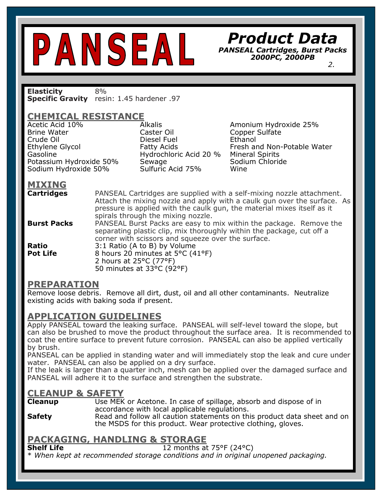*Product Data PANSEAL Cartridges, Burst Packs*

*2000PC, 2000PB 2.*

**Elasticity** 8% **Specific Gravity** resin: 1.45 hardener .97

# **CHEMICAL RESISTANCE**

Acetic Acid 10% **Alkalis** Alkalis Amonium Hydroxide 25% Amonium Hydroxide 25% Crude Oil Diesel Fuel Ethanol Potassium Hydroxide 50% Sewage<br>Sodium Hydroxide 50% Sulfuric Acid 75% Sodium Hydroxide 50% Sulfuric Acid 75% Wine

Hydrochloric Acid 20 % Mineral Spirits<br>Sewage Sodium Chloride

Copper Sulfate Ethylene Glycol Fatty Acids Fresh and Non-Potable Water<br>Gasoline Fresh and Non-Potable Water Gasoline

# **MIXING**

**Cartridges** PANSEAL Cartridges are supplied with a self-mixing nozzle attachment. Attach the mixing nozzle and apply with a caulk gun over the surface. As pressure is applied with the caulk gun, the material mixes itself as it spirals through the mixing nozzle. **Burst Packs** PANSEAL Burst Packs are easy to mix within the package. Remove the

separating plastic clip, mix thoroughly within the package, cut off a corner with scissors and squeeze over the surface.

**Ratio** 3:1 Ratio (A to B) by Volume<br>**Pot Life** 8 hours 20 minutes at 5°C (4 **Pot Life** 8 hours 20 minutes at 5°C (41°F) 2 hours at 25°C (77°F) 50 minutes at 33°C (92°F)

## **PREPARATION**

Remove loose debris. Remove all dirt, dust, oil and all other contaminants. Neutralize<br>existing acids with baking soda if present. existing acids with baking soda if present.

# **APPLICATION GUIDELINES**

**CURE TIME**  $\frac{1}{2}$ Apply PANSEAL toward the leaking surface. PANSEAL will self-level toward the slope, but can also be brushed to move the product throughout the surface area. It is recommended to coat the entire surface to prevent future corrosion. PANSEAL can also be applied vertically by brush.

PANSEAL can be applied in standing water and will immediately stop the leak and cure under water. PANSEAL can also be applied on a dry surface.

If the leak is larger than a quarter inch, mesh can be applied over the damaged surface and PANSEAL will adhere it to the surface and strengthen the substrate.

# **CLEANUP & SAFETY**

Use MEK or Acetone. In case of spillage, absorb and dispose of in accordance with local applicable regulations. **Safety** Read and follow all caution statements on this product data sheet and on the MSDS for this product. Wear protective clothing, gloves.

## **PACKAGING, HANDLING & STORAGE**

## **Shelf Life** 12 months at 75°F (24°C)

\* *When kept at recommended storage conditions and in original unopened packaging.*